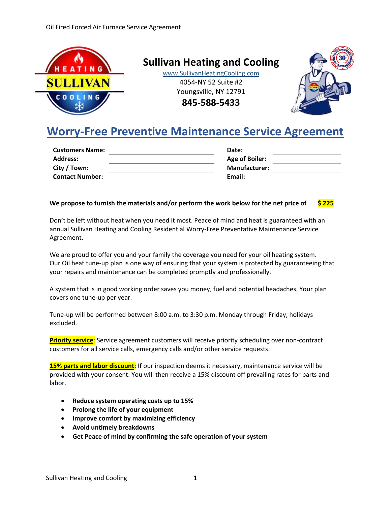

**Sullivan Heating and Cooling**

www.SullivanHeatingCooling.com 4054-NY 52 Suite #2 Youngsville, NY 12791 **845-588-5433**



# **Worry-Free Preventive Maintenance Service Agreement**

| Date:                 |  |
|-----------------------|--|
| <b>Age of Boiler:</b> |  |
| <b>Manufacturer:</b>  |  |
| Email:                |  |
|                       |  |

#### **We propose to furnish the materials and/or perform the work below for the net price of \$ 225**

Don't be left without heat when you need it most. Peace of mind and heat is guaranteed with an annual Sullivan Heating and Cooling Residential Worry-Free Preventative Maintenance Service Agreement.

We are proud to offer you and your family the coverage you need for your oil heating system. Our Oil heat tune-up plan is one way of ensuring that your system is protected by guaranteeing that your repairs and maintenance can be completed promptly and professionally.

A system that is in good working order saves you money, fuel and potential headaches. Your plan covers one tune-up per year.

Tune-up will be performed between 8:00 a.m. to 3:30 p.m. Monday through Friday, holidays excluded.

**Priority service**: Service agreement customers will receive priority scheduling over non-contract customers for all service calls, emergency calls and/or other service requests.

**15% parts and labor discount**: If our inspection deems it necessary, maintenance service will be provided with your consent. You will then receive a 15% discount off prevailing rates for parts and labor.

- **Reduce system operating costs up to 15%**
- **Prolong the life of your equipment**
- **Improve comfort by maximizing efficiency**
- **Avoid untimely breakdowns**
- **Get Peace of mind by confirming the safe operation of your system**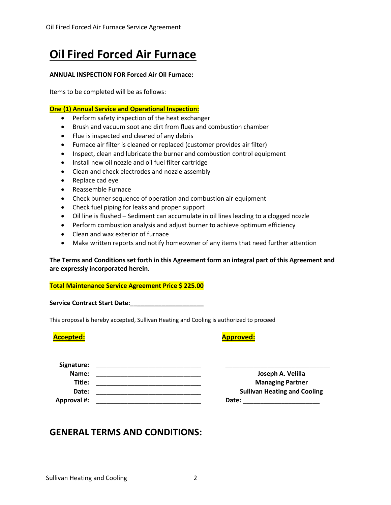# **Oil Fired Forced Air Furnace**

#### **ANNUAL INSPECTION FOR Forced Air Oil Furnace:**

Items to be completed will be as follows:

#### **One (1) Annual Service and Operational Inspection:**

- Perform safety inspection of the heat exchanger
- Brush and vacuum soot and dirt from flues and combustion chamber
- Flue is inspected and cleared of any debris
- Furnace air filter is cleaned or replaced (customer provides air filter)
- Inspect, clean and lubricate the burner and combustion control equipment
- Install new oil nozzle and oil fuel filter cartridge
- Clean and check electrodes and nozzle assembly
- Replace cad eye
- Reassemble Furnace
- Check burner sequence of operation and combustion air equipment
- Check fuel piping for leaks and proper support
- Oil line is flushed Sediment can accumulate in oil lines leading to a clogged nozzle
- Perform combustion analysis and adjust burner to achieve optimum efficiency
- Clean and wax exterior of furnace
- Make written reports and notify homeowner of any items that need further attention

#### **The Terms and Conditions set forth in this Agreement form an integral part of this Agreement and are expressly incorporated herein.**

#### **Total Maintenance Service Agreement Price \$ 225.00**

**Service Contract Start Date:\_\_\_\_\_\_\_\_\_\_\_\_\_\_\_\_\_\_\_\_\_**

This proposal is hereby accepted, Sullivan Heating and Cooling is authorized to proceed

### **Accepted: Approved:**

| Signature:  |                                     |
|-------------|-------------------------------------|
| Name:       | Joseph A. Velilla                   |
| Title:      | <b>Managing Partner</b>             |
| Date:       | <b>Sullivan Heating and Cooling</b> |
| Approval #: | Date:                               |

## **GENERAL TERMS AND CONDITIONS:**